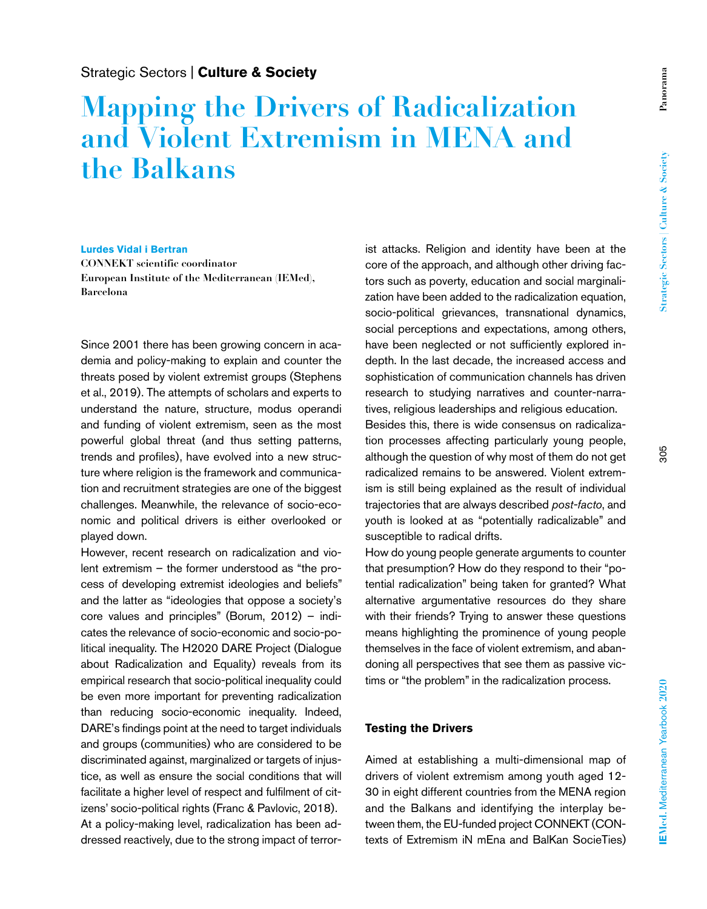## Strategic Sectors | **Culture & Society**

# **Mapping the Drivers of Radicalization and Violent Extremism in MENA and the Balkans**

#### **Lurdes Vidal i Bertran**

**CONNEKT scientific coordinator European Institute of the Mediterranean (IEMed), Barcelona**

Since 2001 there has been growing concern in academia and policy-making to explain and counter the threats posed by violent extremist groups (Stephens et al., 2019). The attempts of scholars and experts to understand the nature, structure, modus operandi and funding of violent extremism, seen as the most powerful global threat (and thus setting patterns, trends and profiles), have evolved into a new structure where religion is the framework and communication and recruitment strategies are one of the biggest challenges. Meanwhile, the relevance of socio-economic and political drivers is either overlooked or played down.

However, recent research on radicalization and violent extremism – the former understood as "the process of developing extremist ideologies and beliefs" and the latter as "ideologies that oppose a society's core values and principles" (Borum, 2012) – indicates the relevance of socio-economic and socio-political inequality. The H2020 DARE Project (Dialogue about Radicalization and Equality) reveals from its empirical research that socio-political inequality could be even more important for preventing radicalization than reducing socio-economic inequality. Indeed, DARE's findings point at the need to target individuals and groups (communities) who are considered to be discriminated against, marginalized or targets of injustice, as well as ensure the social conditions that will facilitate a higher level of respect and fulfilment of citizens' socio-political rights (Franc & Pavlovic, 2018). At a policy-making level, radicalization has been addressed reactively, due to the strong impact of terrorist attacks. Religion and identity have been at the core of the approach, and although other driving factors such as poverty, education and social marginalization have been added to the radicalization equation, socio-political grievances, transnational dynamics, social perceptions and expectations, among others, have been neglected or not sufficiently explored indepth. In the last decade, the increased access and sophistication of communication channels has driven research to studying narratives and counter-narratives, religious leaderships and religious education.

Besides this, there is wide consensus on radicalization processes affecting particularly young people, although the question of why most of them do not get radicalized remains to be answered. Violent extremism is still being explained as the result of individual trajectories that are always described *post-facto*, and youth is looked at as "potentially radicalizable" and susceptible to radical drifts.

How do young people generate arguments to counter that presumption? How do they respond to their "potential radicalization" being taken for granted? What alternative argumentative resources do they share with their friends? Trying to answer these questions means highlighting the prominence of young people themselves in the face of violent extremism, and abandoning all perspectives that see them as passive victims or "the problem" in the radicalization process.

### **Testing the Drivers**

Aimed at establishing a multi-dimensional map of drivers of violent extremism among youth aged 12- 30 in eight different countries from the MENA region and the Balkans and identifying the interplay between them, the EU-funded project CONNEKT (CONtexts of Extremism iN mEna and BalKan SocieTies)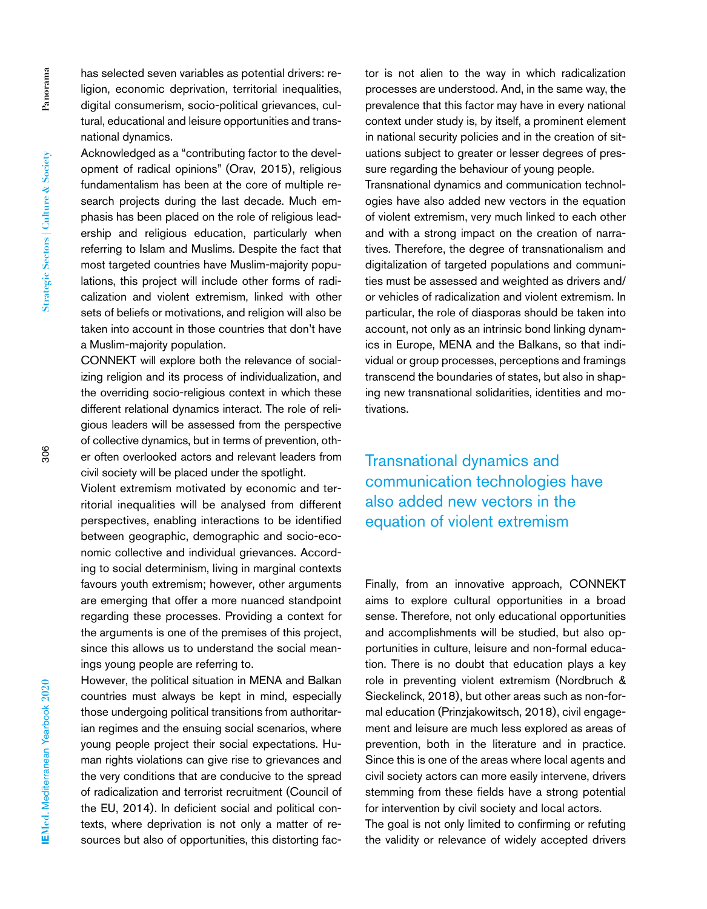**Strategic Sectors | Culture & Society**

has selected seven variables as potential drivers: religion, economic deprivation, territorial inequalities, digital consumerism, socio-political grievances, cultural, educational and leisure opportunities and transnational dynamics.

Acknowledged as a "contributing factor to the development of radical opinions" (Orav, 2015), religious fundamentalism has been at the core of multiple research projects during the last decade. Much emphasis has been placed on the role of religious leadership and religious education, particularly when referring to Islam and Muslims. Despite the fact that most targeted countries have Muslim-majority populations, this project will include other forms of radicalization and violent extremism, linked with other sets of beliefs or motivations, and religion will also be taken into account in those countries that don't have a Muslim-majority population.

CONNEKT will explore both the relevance of socializing religion and its process of individualization, and the overriding socio-religious context in which these different relational dynamics interact. The role of religious leaders will be assessed from the perspective of collective dynamics, but in terms of prevention, other often overlooked actors and relevant leaders from civil society will be placed under the spotlight.

Violent extremism motivated by economic and territorial inequalities will be analysed from different perspectives, enabling interactions to be identified between geographic, demographic and socio-economic collective and individual grievances. According to social determinism, living in marginal contexts favours youth extremism; however, other arguments are emerging that offer a more nuanced standpoint regarding these processes. Providing a context for the arguments is one of the premises of this project, since this allows us to understand the social meanings young people are referring to.

However, the political situation in MENA and Balkan countries must always be kept in mind, especially those undergoing political transitions from authoritarian regimes and the ensuing social scenarios, where young people project their social expectations. Human rights violations can give rise to grievances and the very conditions that are conducive to the spread of radicalization and terrorist recruitment (Council of the EU, 2014). In deficient social and political contexts, where deprivation is not only a matter of resources but also of opportunities, this distorting factor is not alien to the way in which radicalization processes are understood. And, in the same way, the prevalence that this factor may have in every national context under study is, by itself, a prominent element in national security policies and in the creation of situations subject to greater or lesser degrees of pressure regarding the behaviour of young people.

Transnational dynamics and communication technologies have also added new vectors in the equation of violent extremism, very much linked to each other and with a strong impact on the creation of narratives. Therefore, the degree of transnationalism and digitalization of targeted populations and communities must be assessed and weighted as drivers and/ or vehicles of radicalization and violent extremism. In particular, the role of diasporas should be taken into account, not only as an intrinsic bond linking dynamics in Europe, MENA and the Balkans, so that individual or group processes, perceptions and framings transcend the boundaries of states, but also in shaping new transnational solidarities, identities and motivations.

Transnational dynamics and communication technologies have also added new vectors in the equation of violent extremism

Finally, from an innovative approach, CONNEKT aims to explore cultural opportunities in a broad sense. Therefore, not only educational opportunities and accomplishments will be studied, but also opportunities in culture, leisure and non-formal education. There is no doubt that education plays a key role in preventing violent extremism (Nordbruch & Sieckelinck, 2018), but other areas such as non-formal education (Prinzjakowitsch, 2018), civil engagement and leisure are much less explored as areas of prevention, both in the literature and in practice. Since this is one of the areas where local agents and civil society actors can more easily intervene, drivers stemming from these fields have a strong potential for intervention by civil society and local actors.

The goal is not only limited to confirming or refuting the validity or relevance of widely accepted drivers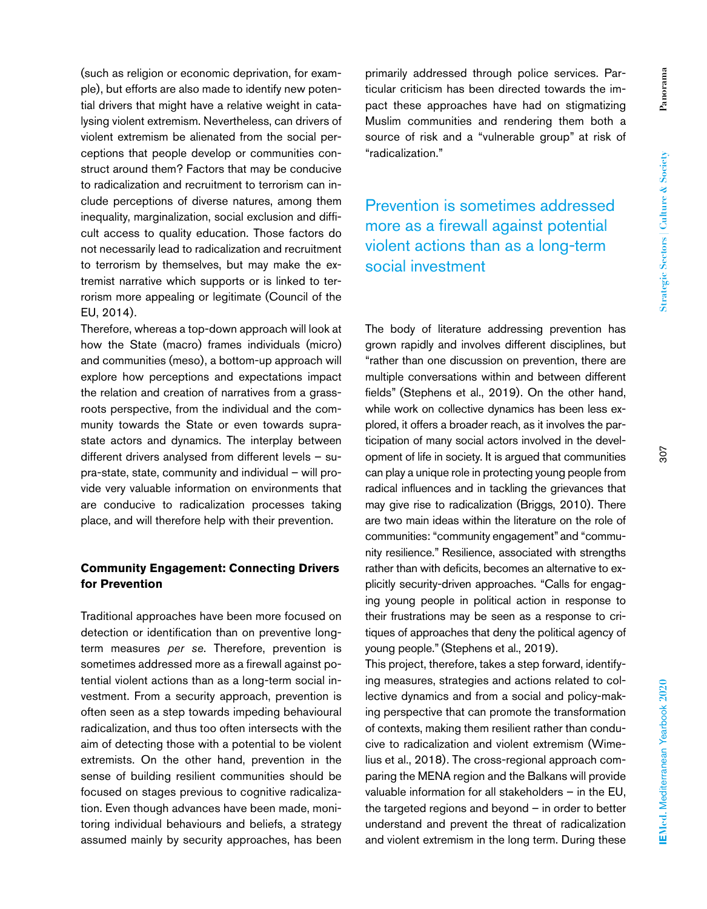primarily addressed through police services. Particular criticism has been directed towards the impact these approaches have had on stigmatizing Muslim communities and rendering them both a source of risk and a "vulnerable group" at risk of

Prevention is sometimes addressed more as a firewall against potential violent actions than as a long-term social investment

"radicalization."

The body of literature addressing prevention has grown rapidly and involves different disciplines, but "rather than one discussion on prevention, there are multiple conversations within and between different fields" (Stephens et al., 2019). On the other hand, while work on collective dynamics has been less explored, it offers a broader reach, as it involves the participation of many social actors involved in the development of life in society. It is argued that communities can play a unique role in protecting young people from radical influences and in tackling the grievances that may give rise to radicalization (Briggs, 2010). There are two main ideas within the literature on the role of communities: "community engagement" and "community resilience." Resilience, associated with strengths rather than with deficits, becomes an alternative to explicitly security-driven approaches. "Calls for engaging young people in political action in response to their frustrations may be seen as a response to critiques of approaches that deny the political agency of young people." (Stephens et al., 2019).

This project, therefore, takes a step forward, identifying measures, strategies and actions related to collective dynamics and from a social and policy-making perspective that can promote the transformation of contexts, making them resilient rather than conducive to radicalization and violent extremism (Wimelius et al., 2018). The cross-regional approach comparing the MENA region and the Balkans will provide valuable information for all stakeholders – in the EU, the targeted regions and beyond – in order to better understand and prevent the threat of radicalization and violent extremism in the long term. During these

(such as religion or economic deprivation, for example), but efforts are also made to identify new potential drivers that might have a relative weight in catalysing violent extremism. Nevertheless, can drivers of violent extremism be alienated from the social perceptions that people develop or communities construct around them? Factors that may be conducive to radicalization and recruitment to terrorism can include perceptions of diverse natures, among them inequality, marginalization, social exclusion and difficult access to quality education. Those factors do not necessarily lead to radicalization and recruitment to terrorism by themselves, but may make the extremist narrative which supports or is linked to terrorism more appealing or legitimate (Council of the EU, 2014).

Therefore, whereas a top-down approach will look at how the State (macro) frames individuals (micro) and communities (meso), a bottom-up approach will explore how perceptions and expectations impact the relation and creation of narratives from a grassroots perspective, from the individual and the community towards the State or even towards suprastate actors and dynamics. The interplay between different drivers analysed from different levels – supra-state, state, community and individual – will provide very valuable information on environments that are conducive to radicalization processes taking place, and will therefore help with their prevention.

### **Community Engagement: Connecting Drivers for Prevention**

Traditional approaches have been more focused on detection or identification than on preventive longterm measures *per se*. Therefore, prevention is sometimes addressed more as a firewall against potential violent actions than as a long-term social investment. From a security approach, prevention is often seen as a step towards impeding behavioural radicalization, and thus too often intersects with the aim of detecting those with a potential to be violent extremists. On the other hand, prevention in the sense of building resilient communities should be focused on stages previous to cognitive radicalization. Even though advances have been made, monitoring individual behaviours and beliefs, a strategy assumed mainly by security approaches, has been